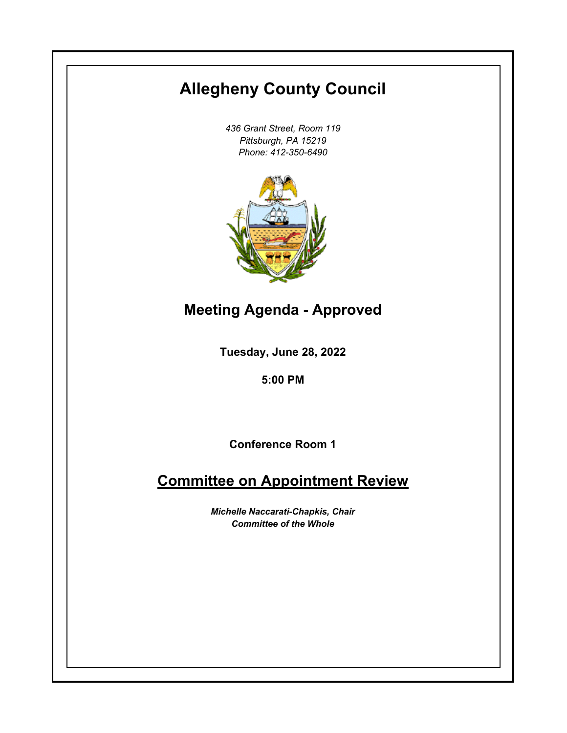# **Allegheny County Council**

*436 Grant Street, Room 119 Pittsburgh, PA 15219 Phone: 412-350-6490*



# **Meeting Agenda - Approved**

**Tuesday, June 28, 2022**

**5:00 PM**

**Conference Room 1**

# **Committee on Appointment Review**

*Michelle Naccarati-Chapkis, Chair Committee of the Whole*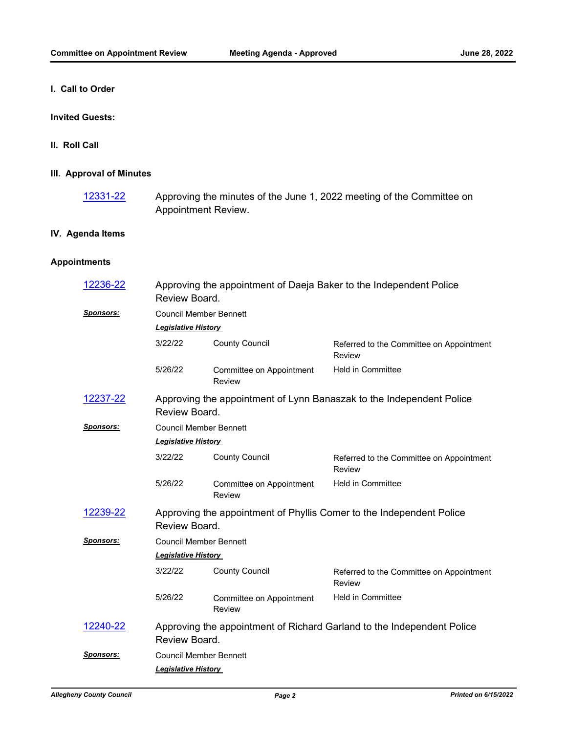**I. Call to Order**

#### **Invited Guests:**

**II. Roll Call**

## **III. Approval of Minutes**

Approving the minutes of the June 1, 2022 meeting of the Committee on Appointment Review. [12331-22](http://allegheny.legistar.com/gateway.aspx?m=l&id=/matter.aspx?key=13396)

## **IV. Agenda Items**

## **Appointments**

| 12236-22         | Approving the appointment of Daeja Baker to the Independent Police<br>Review Board.     |                                    |                                                    |  |  |
|------------------|-----------------------------------------------------------------------------------------|------------------------------------|----------------------------------------------------|--|--|
| <b>Sponsors:</b> | <b>Council Member Bennett</b>                                                           |                                    |                                                    |  |  |
|                  | <b>Legislative History</b>                                                              |                                    |                                                    |  |  |
|                  | 3/22/22                                                                                 | <b>County Council</b>              | Referred to the Committee on Appointment<br>Review |  |  |
|                  | 5/26/22                                                                                 | Committee on Appointment<br>Review | <b>Held in Committee</b>                           |  |  |
| 12237-22         | Approving the appointment of Lynn Banaszak to the Independent Police<br>Review Board.   |                                    |                                                    |  |  |
| <b>Sponsors:</b> | <b>Council Member Bennett</b>                                                           |                                    |                                                    |  |  |
|                  | <b>Legislative History</b>                                                              |                                    |                                                    |  |  |
|                  | 3/22/22                                                                                 | <b>County Council</b>              | Referred to the Committee on Appointment<br>Review |  |  |
|                  | 5/26/22                                                                                 | Committee on Appointment<br>Review | <b>Held in Committee</b>                           |  |  |
| 12239-22         | Approving the appointment of Phyllis Comer to the Independent Police<br>Review Board.   |                                    |                                                    |  |  |
| <b>Sponsors:</b> | <b>Council Member Bennett</b>                                                           |                                    |                                                    |  |  |
|                  | <b>Legislative History</b>                                                              |                                    |                                                    |  |  |
|                  | 3/22/22                                                                                 | <b>County Council</b>              | Referred to the Committee on Appointment<br>Review |  |  |
|                  | 5/26/22                                                                                 | Committee on Appointment<br>Review | <b>Held in Committee</b>                           |  |  |
| 12240-22         | Approving the appointment of Richard Garland to the Independent Police<br>Review Board. |                                    |                                                    |  |  |
| <u>Sponsors:</u> | <b>Council Member Bennett</b>                                                           |                                    |                                                    |  |  |
|                  | <b>Legislative History</b>                                                              |                                    |                                                    |  |  |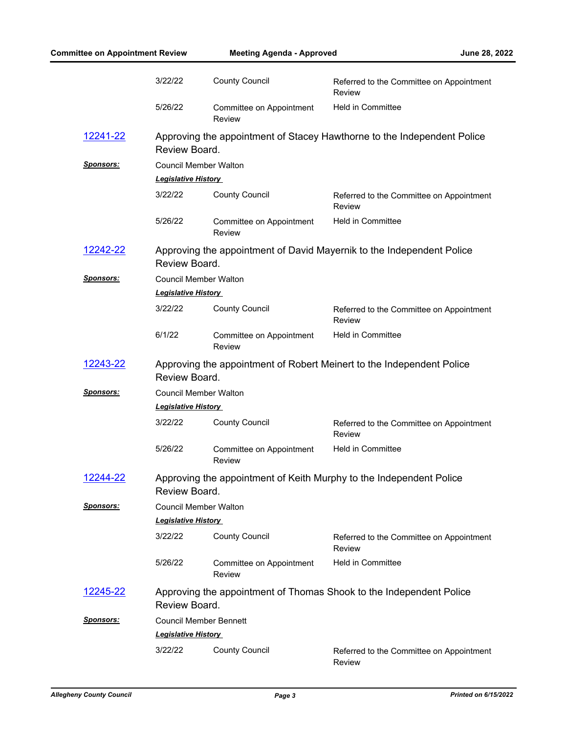| <b>Committee on Appointment Review</b> |                                                                                          | <b>Meeting Agenda - Approved</b>   | June 28, 2022                                      |  |  |
|----------------------------------------|------------------------------------------------------------------------------------------|------------------------------------|----------------------------------------------------|--|--|
|                                        | 3/22/22                                                                                  | <b>County Council</b>              | Referred to the Committee on Appointment<br>Review |  |  |
|                                        | 5/26/22                                                                                  | Committee on Appointment<br>Review | <b>Held in Committee</b>                           |  |  |
| <u>12241-22</u>                        | Approving the appointment of Stacey Hawthorne to the Independent Police<br>Review Board. |                                    |                                                    |  |  |
| <u>Sponsors:</u>                       | <b>Council Member Walton</b>                                                             |                                    |                                                    |  |  |
|                                        | <b>Legislative History</b>                                                               |                                    |                                                    |  |  |
|                                        | 3/22/22                                                                                  | <b>County Council</b>              | Referred to the Committee on Appointment<br>Review |  |  |
|                                        | 5/26/22                                                                                  | Committee on Appointment<br>Review | <b>Held in Committee</b>                           |  |  |
| <u>12242-22</u>                        | Approving the appointment of David Mayernik to the Independent Police<br>Review Board.   |                                    |                                                    |  |  |
| <b>Sponsors:</b>                       | <b>Council Member Walton</b>                                                             |                                    |                                                    |  |  |
|                                        | <b>Legislative History</b>                                                               |                                    |                                                    |  |  |
|                                        | 3/22/22                                                                                  | <b>County Council</b>              | Referred to the Committee on Appointment<br>Review |  |  |
|                                        | 6/1/22                                                                                   | Committee on Appointment<br>Review | <b>Held in Committee</b>                           |  |  |
| 12243-22                               | Approving the appointment of Robert Meinert to the Independent Police<br>Review Board.   |                                    |                                                    |  |  |
| <u>Sponsors:</u>                       | <b>Council Member Walton</b>                                                             |                                    |                                                    |  |  |
|                                        | <b>Legislative History</b>                                                               |                                    |                                                    |  |  |
|                                        | 3/22/22                                                                                  | <b>County Council</b>              | Referred to the Committee on Appointment<br>Review |  |  |
|                                        | 5/26/22                                                                                  | Committee on Appointment<br>Review | <b>Held in Committee</b>                           |  |  |
| 12244-22                               | Approving the appointment of Keith Murphy to the Independent Police<br>Review Board.     |                                    |                                                    |  |  |
| <u>Sponsors:</u>                       | <b>Council Member Walton</b>                                                             |                                    |                                                    |  |  |
|                                        | <b>Legislative History</b>                                                               |                                    |                                                    |  |  |
|                                        | 3/22/22                                                                                  | <b>County Council</b>              | Referred to the Committee on Appointment<br>Review |  |  |
|                                        | 5/26/22                                                                                  | Committee on Appointment<br>Review | <b>Held in Committee</b>                           |  |  |
| <u>12245-22</u>                        | Approving the appointment of Thomas Shook to the Independent Police<br>Review Board.     |                                    |                                                    |  |  |
| <u>Sponsors:</u>                       |                                                                                          | <b>Council Member Bennett</b>      |                                                    |  |  |
|                                        | <b>Legislative History</b>                                                               |                                    |                                                    |  |  |
|                                        | 3/22/22                                                                                  | <b>County Council</b>              | Referred to the Committee on Appointment<br>Review |  |  |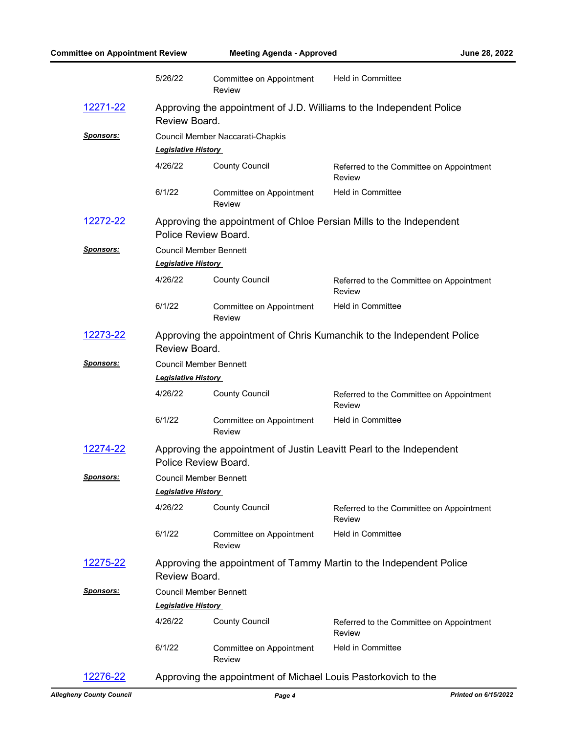| <b>Committee on Appointment Review</b> |                                                                                              | <b>Meeting Agenda - Approved</b>          |                                                                      | June 28, 2022 |
|----------------------------------------|----------------------------------------------------------------------------------------------|-------------------------------------------|----------------------------------------------------------------------|---------------|
|                                        | 5/26/22                                                                                      | Committee on Appointment<br>Review        | <b>Held in Committee</b>                                             |               |
| <u>12271-22</u>                        | Review Board.                                                                                |                                           | Approving the appointment of J.D. Williams to the Independent Police |               |
| <b>Sponsors:</b>                       | Council Member Naccarati-Chapkis<br><b>Legislative History</b>                               |                                           |                                                                      |               |
|                                        | 4/26/22                                                                                      | <b>County Council</b>                     | Referred to the Committee on Appointment<br>Review                   |               |
|                                        | 6/1/22                                                                                       | Committee on Appointment<br>Review        | <b>Held in Committee</b>                                             |               |
| 12272-22                               | Approving the appointment of Chloe Persian Mills to the Independent<br>Police Review Board.  |                                           |                                                                      |               |
| <b>Sponsors:</b>                       | <b>Council Member Bennett</b><br><b>Legislative History</b>                                  |                                           |                                                                      |               |
|                                        | 4/26/22                                                                                      | <b>County Council</b>                     | Referred to the Committee on Appointment<br>Review                   |               |
|                                        | 6/1/22                                                                                       | Committee on Appointment<br><b>Review</b> | <b>Held in Committee</b>                                             |               |
| 12273-22                               | Approving the appointment of Chris Kumanchik to the Independent Police<br>Review Board.      |                                           |                                                                      |               |
| <u>Sponsors:</u>                       | <b>Council Member Bennett</b><br><b>Legislative History</b>                                  |                                           |                                                                      |               |
|                                        | 4/26/22                                                                                      | <b>County Council</b>                     | Referred to the Committee on Appointment<br>Review                   |               |
|                                        | 6/1/22                                                                                       | Committee on Appointment<br>Review        | <b>Held in Committee</b>                                             |               |
| 12274-22                               | Approving the appointment of Justin Leavitt Pearl to the Independent<br>Police Review Board. |                                           |                                                                      |               |
| <u>Sponsors:</u>                       | <b>Council Member Bennett</b><br><b>Legislative History</b>                                  |                                           |                                                                      |               |
|                                        | 4/26/22                                                                                      | <b>County Council</b>                     | Referred to the Committee on Appointment<br>Review                   |               |
|                                        | 6/1/22                                                                                       | Committee on Appointment<br><b>Review</b> | <b>Held in Committee</b>                                             |               |
| <u>12275-22</u>                        | Review Board.                                                                                |                                           | Approving the appointment of Tammy Martin to the Independent Police  |               |
| <u>Sponsors:</u>                       | <b>Council Member Bennett</b>                                                                |                                           |                                                                      |               |
|                                        | <b>Legislative History</b>                                                                   |                                           |                                                                      |               |
|                                        | 4/26/22                                                                                      | <b>County Council</b>                     | Referred to the Committee on Appointment<br>Review                   |               |
|                                        | 6/1/22                                                                                       | Committee on Appointment<br><b>Review</b> | <b>Held in Committee</b>                                             |               |
| 12276-22                               | Approving the appointment of Michael Louis Pastorkovich to the                               |                                           |                                                                      |               |